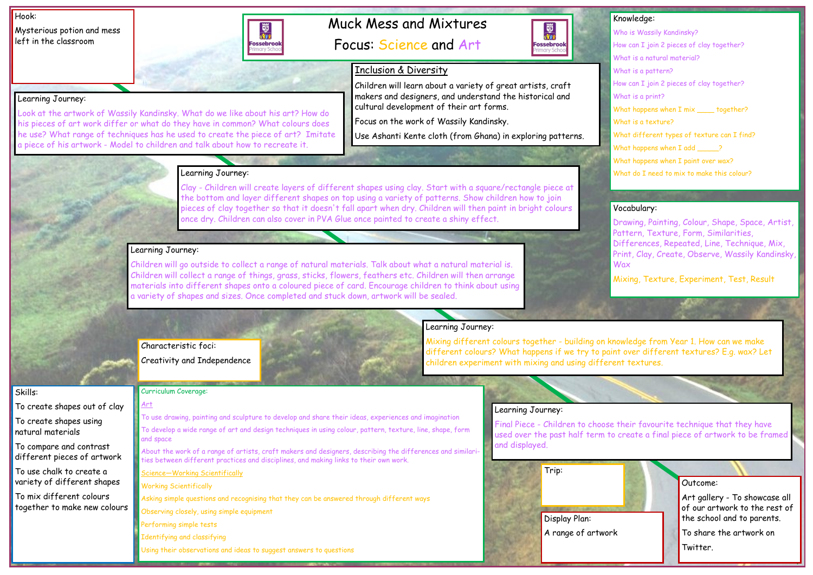# Muck Mess and Mixtures

Focus: Science and Art

#### Hook:

Mysterious potion and mess left in the classroom

- Who is Wassily Kandinsky?
- How can I join 2 pieces of clay together?
- What is a natural material?
- What is a pattern?
- How can I join 2 pieces of clay together?
- What is a print?
- What happens when I mix \_\_\_\_\_ together?
- What is a texture?
- What different types of texture can I find?
- What happens when I add \_\_\_\_\_?
- What happens when I paint over wax?
- What do I need to mix to make this colour?

## Knowledge:

### Skills:

To create shapes out of clay

To create shapes using natural materials

To compare and contrast different pieces of artwork

To use chalk to create a variety of different shapes

To mix different colours together to make new colours

Learning Journey:



Look at the artwork of Wassily Kandinsky. What do we like about his art? How do his pieces of art work differ or what do they have in common? What colours does he use? What range of techniques has he used to create the piece of art? Imitate

a piece of his artwork - Model to children and talk about how to recreate it.

## Learning Journey:

Clay - Children will create layers of different shapes using clay. Start with a square/rectangle piece at the bottom and layer different shapes on top using a variety of patterns. Show children how to join pieces of clay together so that it doesn't fall apart when dry. Children will then paint in bright colours once dry. Children can also cover in PVA Glue once painted to create a shiny effect.

## Learning Journey:

Outcome: Art gallery - To showcase all of our artwork to the rest of the school and to parents. To share the artwork on Twitter. A range of artwork



Children will go outside to collect a range of natural materials. Talk about what a natural material is. Children will collect a range of things, grass, sticks, flowers, feathers etc. Children will then arrange materials into different shapes onto a coloured piece of card. Encourage children to think about using a variety of shapes and sizes. Once completed and stuck down, artwork will be sealed.

## Learning Journey:

Mixing different colours together - building on knowledge from Year 1. How can we make different colours? What happens if we try to paint over different textures? E.g. wax? Let children experiment with mixing and using different textures.

## Learning Journey:

Final Piece - Children to choose their favourite technique that they have used over the past half term to create a final piece of artwork to be framed and displayed.

### Curriculum Coverage:

### Art

To use drawing, painting and sculpture to develop and share their ideas, experiences and imagination

To develop a wide range of art and design techniques in using colour, pattern, texture, line, shape, form and space

About the work of a range of artists, craft makers and designers, describing the differences and similarities between different practices and disciplines, and making links to their own work.

Science—Working Scientifically

Working Scientifically

Asking simple questions and recognising that they can be answered through different ways

Observing closely, using simple equipment

Performing simple tests

Identifying and classifying

Using their observations and ideas to suggest answers to questions

## Vocabulary:

Drawing, Painting, Colour, Shape, Space, Artist, Pattern, Texture, Form, Similarities, Differences, Repeated, Line, Technique, Mix, Print, Clay, Create, Observe, Wassily Kandinsky,

Wax

Mixing, Texture, Experiment, Test, Result

Display Plan:

Trip:

## Characteristic foci:

Creativity and Independence

## Inclusion & Diversity

Children will learn about a variety of great artists, craft makers and designers, and understand the historical and cultural development of their art forms.

Focus on the work of Wassily Kandinsky.

Use Ashanti Kente cloth (from Ghana) in exploring patterns.